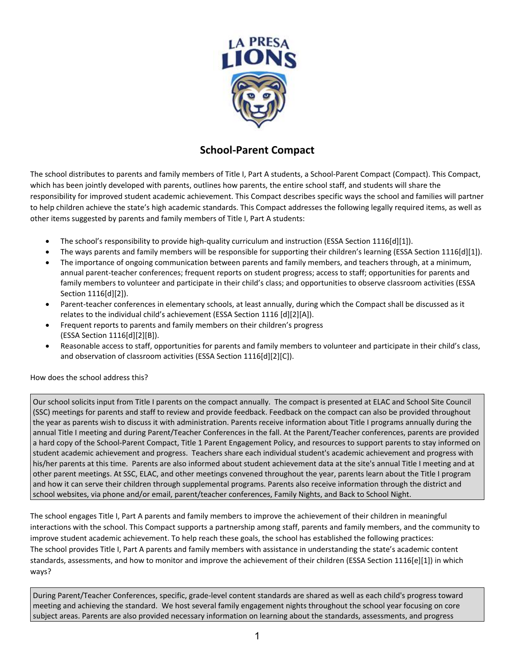

## **School-Parent Compact**

The school distributes to parents and family members of Title I, Part A students, a School-Parent Compact (Compact). This Compact, which has been jointly developed with parents, outlines how parents, the entire school staff, and students will share the responsibility for improved student academic achievement. This Compact describes specific ways the school and families will partner to help children achieve the state's high academic standards. This Compact addresses the following legally required items, as well as other items suggested by parents and family members of Title I, Part A students:

- The school's responsibility to provide high-quality curriculum and instruction (ESSA Section 1116[d][1]).
- The ways parents and family members will be responsible for supporting their children's learning (ESSA Section 1116[d][1]).
- The importance of ongoing communication between parents and family members, and teachers through, at a minimum, annual parent-teacher conferences; frequent reports on student progress; access to staff; opportunities for parents and family members to volunteer and participate in their child's class; and opportunities to observe classroom activities (ESSA Section 1116[d][2]).
- Parent-teacher conferences in elementary schools, at least annually, during which the Compact shall be discussed as it relates to the individual child's achievement (ESSA Section 1116 [d][2][A]).
- Frequent reports to parents and family members on their children's progress (ESSA Section 1116[d][2][B]).
- Reasonable access to staff, opportunities for parents and family members to volunteer and participate in their child's class, and observation of classroom activities (ESSA Section 1116[d][2][C]).

## How does the school address this?

Our school solicits input from Title I parents on the compact annually. The compact is presented at ELAC and School Site Council (SSC) meetings for parents and staff to review and provide feedback. Feedback on the compact can also be provided throughout the year as parents wish to discuss it with administration. Parents receive information about Title I programs annually during the annual Title I meeting and during Parent/Teacher Conferences in the fall. At the Parent/Teacher conferences, parents are provided a hard copy of the School-Parent Compact, Title 1 Parent Engagement Policy, and resources to support parents to stay informed on student academic achievement and progress. Teachers share each individual student's academic achievement and progress with his/her parents at this time. Parents are also informed about student achievement data at the site's annual Title I meeting and at other parent meetings. At SSC, ELAC, and other meetings convened throughout the year, parents learn about the Title I program and how it can serve their children through supplemental programs. Parents also receive information through the district and school websites, via phone and/or email, parent/teacher conferences, Family Nights, and Back to School Night.

The school engages Title I, Part A parents and family members to improve the achievement of their children in meaningful interactions with the school. This Compact supports a partnership among staff, parents and family members, and the community to improve student academic achievement. To help reach these goals, the school has established the following practices: The school provides Title I, Part A parents and family members with assistance in understanding the state's academic content standards, assessments, and how to monitor and improve the achievement of their children (ESSA Section 1116[e][1]) in which ways?

During Parent/Teacher Conferences, specific, grade-level content standards are shared as well as each child's progress toward meeting and achieving the standard. We host several family engagement nights throughout the school year focusing on core subject areas. Parents are also provided necessary information on learning about the standards, assessments, and progress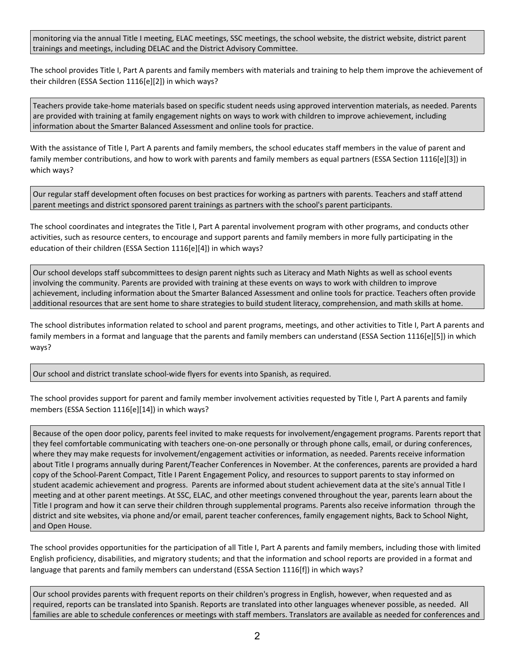monitoring via the annual Title I meeting, ELAC meetings, SSC meetings, the school website, the district website, district parent trainings and meetings, including DELAC and the District Advisory Committee.

The school provides Title I, Part A parents and family members with materials and training to help them improve the achievement of their children (ESSA Section 1116[e][2]) in which ways?

Teachers provide take-home materials based on specific student needs using approved intervention materials, as needed. Parents are provided with training at family engagement nights on ways to work with children to improve achievement, including information about the Smarter Balanced Assessment and online tools for practice.

With the assistance of Title I, Part A parents and family members, the school educates staff members in the value of parent and family member contributions, and how to work with parents and family members as equal partners (ESSA Section 1116[e][3]) in which ways?

Our regular staff development often focuses on best practices for working as partners with parents. Teachers and staff attend parent meetings and district sponsored parent trainings as partners with the school's parent participants.

The school coordinates and integrates the Title I, Part A parental involvement program with other programs, and conducts other activities, such as resource centers, to encourage and support parents and family members in more fully participating in the education of their children (ESSA Section 1116[e][4]) in which ways?

Our school develops staff subcommittees to design parent nights such as Literacy and Math Nights as well as school events involving the community. Parents are provided with training at these events on ways to work with children to improve achievement, including information about the Smarter Balanced Assessment and online tools for practice. Teachers often provide additional resources that are sent home to share strategies to build student literacy, comprehension, and math skills at home.

The school distributes information related to school and parent programs, meetings, and other activities to Title I, Part A parents and family members in a format and language that the parents and family members can understand (ESSA Section 1116[e][5]) in which ways?

Our school and district translate school-wide flyers for events into Spanish, as required.

The school provides support for parent and family member involvement activities requested by Title I, Part A parents and family members (ESSA Section 1116[e][14]) in which ways?

Because of the open door policy, parents feel invited to make requests for involvement/engagement programs. Parents report that they feel comfortable communicating with teachers one-on-one personally or through phone calls, email, or during conferences, where they may make requests for involvement/engagement activities or information, as needed. Parents receive information about Title I programs annually during Parent/Teacher Conferences in November. At the conferences, parents are provided a hard copy of the School-Parent Compact, Title I Parent Engagement Policy, and resources to support parents to stay informed on student academic achievement and progress. Parents are informed about student achievement data at the site's annual Title I meeting and at other parent meetings. At SSC, ELAC, and other meetings convened throughout the year, parents learn about the Title I program and how it can serve their children through supplemental programs. Parents also receive information through the district and site websites, via phone and/or email, parent teacher conferences, family engagement nights, Back to School Night, and Open House.

The school provides opportunities for the participation of all Title I, Part A parents and family members, including those with limited English proficiency, disabilities, and migratory students; and that the information and school reports are provided in a format and language that parents and family members can understand (ESSA Section 1116[f]) in which ways?

Our school provides parents with frequent reports on their children's progress in English, however, when requested and as required, reports can be translated into Spanish. Reports are translated into other languages whenever possible, as needed. All families are able to schedule conferences or meetings with staff members. Translators are available as needed for conferences and